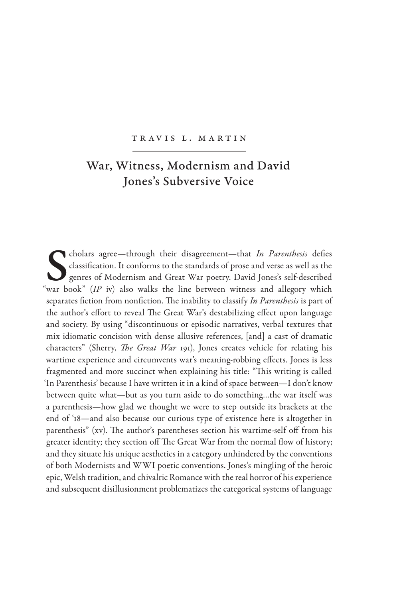## Tr av is L. M artin

## War, Witness, Modernism and David Jones's Subversive Voice

**S** cholars agree—through their disagreement—that *In Parenthesis* defies classification. It conforms to the standards of prose and verse as well as the genres of Modernism and Great War poetry. David Jones's self-describe classification. It conforms to the standards of prose and verse as well as the genres of Modernism and Great War poetry. David Jones's self-described "war book" (*IP* iv) also walks the line between witness and allegory which separates fiction from nonfiction. The inability to classify *In Parenthesis* is part of the author's effort to reveal The Great War's destabilizing effect upon language and society. By using "discontinuous or episodic narratives, verbal textures that mix idiomatic concision with dense allusive references, [and] a cast of dramatic characters" (Sherry, *The Great War* 191), Jones creates vehicle for relating his wartime experience and circumvents war's meaning-robbing effects. Jones is less fragmented and more succinct when explaining his title: "This writing is called 'In Parenthesis' because I have written it in a kind of space between—I don't know between quite what—but as you turn aside to do something…the war itself was a parenthesis—how glad we thought we were to step outside its brackets at the end of '18—and also because our curious type of existence here is altogether in parenthesis" (xv). The author's parentheses section his wartime-self off from his greater identity; they section off The Great War from the normal flow of history; and they situate his unique aesthetics in a category unhindered by the conventions of both Modernists and WWI poetic conventions. Jones's mingling of the heroic epic, Welsh tradition, and chivalric Romance with the real horror of his experience and subsequent disillusionment problematizes the categorical systems of language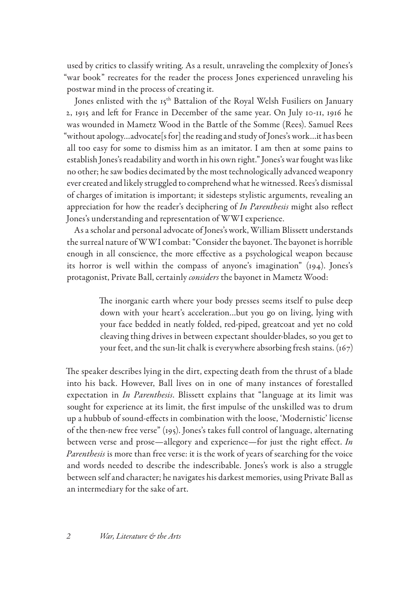used by critics to classify writing. As a result, unraveling the complexity of Jones's "war book" recreates for the reader the process Jones experienced unraveling his postwar mind in the process of creating it.

Jones enlisted with the 15<sup>th</sup> Battalion of the Royal Welsh Fusiliers on January 2, 1915 and left for France in December of the same year. On July 10-11, 1916 he was wounded in Mametz Wood in the Battle of the Somme (Rees). Samuel Rees "without apology…advocate[s for] the reading and study of Jones's work…it has been all too easy for some to dismiss him as an imitator. I am then at some pains to establish Jones's readability and worth in his own right." Jones's war fought was like no other; he saw bodies decimated by the most technologically advanced weaponry ever created and likely struggled to comprehend what he witnessed. Rees's dismissal of charges of imitation is important; it sidesteps stylistic arguments, revealing an appreciation for how the reader's deciphering of *In Parenthesis* might also reflect Jones's understanding and representation of WWI experience.

As a scholar and personal advocate of Jones's work, William Blissett understands the surreal nature of WWI combat: "Consider the bayonet. The bayonet is horrible enough in all conscience, the more effective as a psychological weapon because its horror is well within the compass of anyone's imagination" (194). Jones's protagonist, Private Ball, certainly *considers* the bayonet in Mametz Wood:

> The inorganic earth where your body presses seems itself to pulse deep down with your heart's acceleration…but you go on living, lying with your face bedded in neatly folded, red-piped, greatcoat and yet no cold cleaving thing drives in between expectant shoulder-blades, so you get to your feet, and the sun-lit chalk is everywhere absorbing fresh stains.  $(167)$

The speaker describes lying in the dirt, expecting death from the thrust of a blade into his back. However, Ball lives on in one of many instances of forestalled expectation in *In Parenthesis*. Blissett explains that "language at its limit was sought for experience at its limit, the first impulse of the unskilled was to drum up a hubbub of sound-effects in combination with the loose, 'Modernistic' license of the then-new free verse" (195). Jones's takes full control of language, alternating between verse and prose—allegory and experience—for just the right effect. *In Parenthesis* is more than free verse: it is the work of years of searching for the voice and words needed to describe the indescribable. Jones's work is also a struggle between self and character; he navigates his darkest memories, using Private Ball as an intermediary for the sake of art.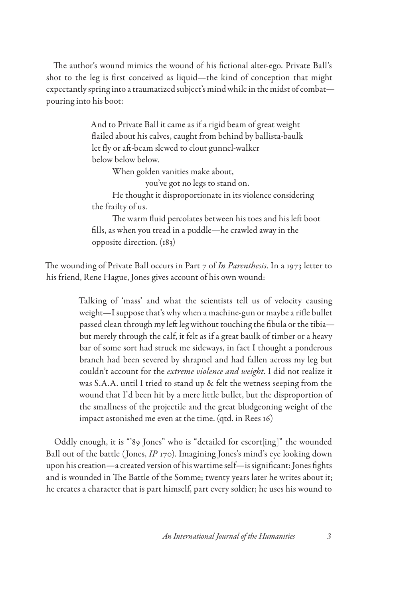The author's wound mimics the wound of his fictional alter-ego. Private Ball's shot to the leg is first conceived as liquid—the kind of conception that might expectantly spring into a traumatized subject's mind while in the midst of combat pouring into his boot:

> And to Private Ball it came as if a rigid beam of great weight flailed about his calves, caught from behind by ballista-baulk let fly or aft-beam slewed to clout gunnel-walker below below below.

> > When golden vanities make about,

you've got no legs to stand on.

He thought it disproportionate in its violence considering the frailty of us.

The warm fluid percolates between his toes and his left boot fills, as when you tread in a puddle—he crawled away in the opposite direction. (183)

The wounding of Private Ball occurs in Part 7 of *In Parenthesis*. In a 1973 letter to his friend, Rene Hague, Jones gives account of his own wound:

> Talking of 'mass' and what the scientists tell us of velocity causing weight—I suppose that's why when a machine-gun or maybe a rifle bullet passed clean through my left leg without touching the fibula or the tibia but merely through the calf, it felt as if a great baulk of timber or a heavy bar of some sort had struck me sideways, in fact I thought a ponderous branch had been severed by shrapnel and had fallen across my leg but couldn't account for the *extreme violence and weight*. I did not realize it was S.A.A. until I tried to stand up & felt the wetness seeping from the wound that I'd been hit by a mere little bullet, but the disproportion of the smallness of the projectile and the great bludgeoning weight of the impact astonished me even at the time. (qtd. in Rees 16)

Oddly enough, it is "'89 Jones" who is "detailed for escort[ing]" the wounded Ball out of the battle (Jones, *IP* 170). Imagining Jones's mind's eye looking down upon his creation—a created version of his wartime self—is significant: Jones fights and is wounded in The Battle of the Somme; twenty years later he writes about it; he creates a character that is part himself, part every soldier; he uses his wound to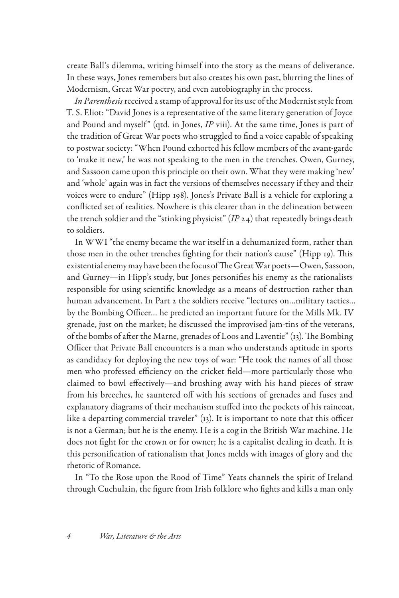create Ball's dilemma, writing himself into the story as the means of deliverance. In these ways, Jones remembers but also creates his own past, blurring the lines of Modernism, Great War poetry, and even autobiography in the process.

*In Parenthesis* received a stamp of approval for its use of the Modernist style from T. S. Eliot: "David Jones is a representative of the same literary generation of Joyce and Pound and myself" (qtd. in Jones, *IP* viii). At the same time, Jones is part of the tradition of Great War poets who struggled to find a voice capable of speaking to postwar society: "When Pound exhorted his fellow members of the avant-garde to 'make it new,' he was not speaking to the men in the trenches. Owen, Gurney, and Sassoon came upon this principle on their own. What they were making 'new' and 'whole' again was in fact the versions of themselves necessary if they and their voices were to endure" (Hipp 198). Jones's Private Ball is a vehicle for exploring a conflicted set of realities. Nowhere is this clearer than in the delineation between the trench soldier and the "stinking physicist" (*IP* 24) that repeatedly brings death to soldiers.

In WWI "the enemy became the war itself in a dehumanized form, rather than those men in the other trenches fighting for their nation's cause" (Hipp 19). This existential enemy may have been the focus of The Great War poets—Owen, Sassoon, and Gurney—in Hipp's study, but Jones personifies his enemy as the rationalists responsible for using scientific knowledge as a means of destruction rather than human advancement. In Part 2 the soldiers receive "lectures on…military tactics… by the Bombing Officer… he predicted an important future for the Mills Mk. IV grenade, just on the market; he discussed the improvised jam-tins of the veterans, of the bombs of after the Marne, grenades of Loos and Laventie" (13). The Bombing Officer that Private Ball encounters is a man who understands aptitude in sports as candidacy for deploying the new toys of war: "He took the names of all those men who professed efficiency on the cricket field—more particularly those who claimed to bowl effectively—and brushing away with his hand pieces of straw from his breeches, he sauntered off with his sections of grenades and fuses and explanatory diagrams of their mechanism stuffed into the pockets of his raincoat, like a departing commercial traveler" (13). It is important to note that this officer is not a German; but he is the enemy. He is a cog in the British War machine. He does not fight for the crown or for owner; he is a capitalist dealing in death. It is this personification of rationalism that Jones melds with images of glory and the rhetoric of Romance.

In "To the Rose upon the Rood of Time" Yeats channels the spirit of Ireland through Cuchulain, the figure from Irish folklore who fights and kills a man only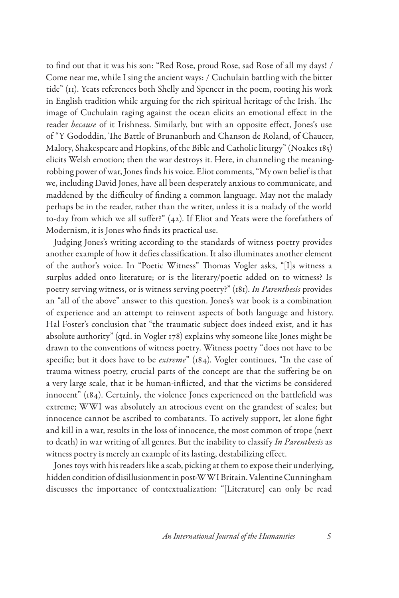to find out that it was his son: "Red Rose, proud Rose, sad Rose of all my days! / Come near me, while I sing the ancient ways: / Cuchulain battling with the bitter tide" (11). Yeats references both Shelly and Spencer in the poem, rooting his work in English tradition while arguing for the rich spiritual heritage of the Irish. The image of Cuchulain raging against the ocean elicits an emotional effect in the reader *because* of it Irishness. Similarly, but with an opposite effect, Jones's use of "Y Gododdin, The Battle of Brunanburh and Chanson de Roland, of Chaucer, Malory, Shakespeare and Hopkins, of the Bible and Catholic liturgy" (Noakes 185) elicits Welsh emotion; then the war destroys it. Here, in channeling the meaningrobbing power of war, Jones finds his voice. Eliot comments, "My own belief is that we, including David Jones, have all been desperately anxious to communicate, and maddened by the difficulty of finding a common language. May not the malady perhaps be in the reader, rather than the writer, unless it is a malady of the world to-day from which we all suffer?" (42). If Eliot and Yeats were the forefathers of Modernism, it is Jones who finds its practical use.

Judging Jones's writing according to the standards of witness poetry provides another example of how it defies classification. It also illuminates another element of the author's voice. In "Poetic Witness" Thomas Vogler asks, "[I]s witness a surplus added onto literature; or is the literary/poetic added on to witness? Is poetry serving witness, or is witness serving poetry?" (181). *In Parenthesis* provides an "all of the above" answer to this question. Jones's war book is a combination of experience and an attempt to reinvent aspects of both language and history. Hal Foster's conclusion that "the traumatic subject does indeed exist, and it has absolute authority" (qtd. in Vogler 178) explains why someone like Jones might be drawn to the conventions of witness poetry. Witness poetry "does not have to be specific; but it does have to be *extreme*" (184). Vogler continues, "In the case of trauma witness poetry, crucial parts of the concept are that the suffering be on a very large scale, that it be human-inflicted, and that the victims be considered innocent" (184). Certainly, the violence Jones experienced on the battlefield was extreme; WWI was absolutely an atrocious event on the grandest of scales; but innocence cannot be ascribed to combatants. To actively support, let alone fight and kill in a war, results in the loss of innocence, the most common of trope (next to death) in war writing of all genres. But the inability to classify *In Parenthesis* as witness poetry is merely an example of its lasting, destabilizing effect.

Jones toys with his readers like a scab, picking at them to expose their underlying, hidden condition of disillusionment in post-WWI Britain. Valentine Cunningham discusses the importance of contextualization: "[Literature] can only be read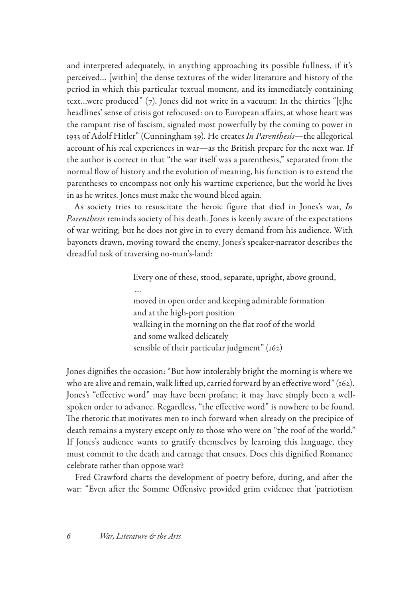and interpreted adequately, in anything approaching its possible fullness, if it's perceived… [within] the dense textures of the wider literature and history of the period in which this particular textual moment, and its immediately containing text...were produced"  $(7)$ . Jones did not write in a vacuum: In the thirties "[t]he headlines' sense of crisis got refocused: on to European affairs, at whose heart was the rampant rise of fascism, signaled most powerfully by the coming to power in 1933 of Adolf Hitler" (Cunningham 39). He creates *In Parenthesis*—the allegorical account of his real experiences in war—as the British prepare for the next war. If the author is correct in that "the war itself was a parenthesis," separated from the normal flow of history and the evolution of meaning, his function is to extend the parentheses to encompass not only his wartime experience, but the world he lives in as he writes. Jones must make the wound bleed again.

As society tries to resuscitate the heroic figure that died in Jones's war, *In Parenthesis* reminds society of his death. Jones is keenly aware of the expectations of war writing; but he does not give in to every demand from his audience. With bayonets drawn, moving toward the enemy, Jones's speaker-narrator describes the dreadful task of traversing no-man's-land:

> Every one of these, stood, separate, upright, above ground, … moved in open order and keeping admirable formation and at the high-port position walking in the morning on the flat roof of the world and some walked delicately sensible of their particular judgment" (162)

Jones dignifies the occasion: "But how intolerably bright the morning is where we who are alive and remain, walk lifted up, carried forward by an effective word" (162). Jones's "effective word" may have been profane; it may have simply been a wellspoken order to advance. Regardless, "the effective word" is nowhere to be found. The rhetoric that motivates men to inch forward when already on the precipice of death remains a mystery except only to those who were on "the roof of the world." If Jones's audience wants to gratify themselves by learning this language, they must commit to the death and carnage that ensues. Does this dignified Romance celebrate rather than oppose war?

Fred Crawford charts the development of poetry before, during, and after the war: "Even after the Somme Offensive provided grim evidence that 'patriotism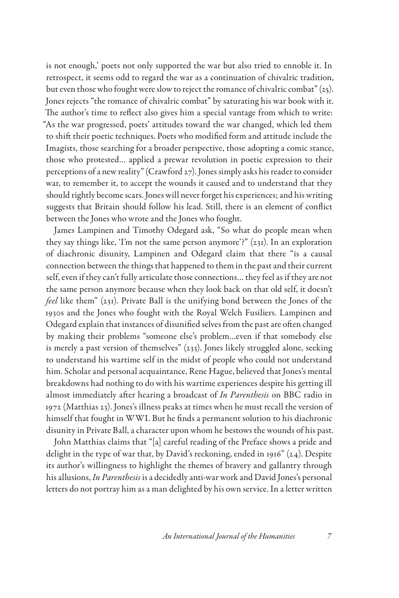is not enough,' poets not only supported the war but also tried to ennoble it. In retrospect, it seems odd to regard the war as a continuation of chivalric tradition, but even those who fought were slow to reject the romance of chivalric combat" (25). Jones rejects "the romance of chivalric combat" by saturating his war book with it. The author's time to reflect also gives him a special vantage from which to write: "As the war progressed, poets' attitudes toward the war changed, which led them to shift their poetic techniques. Poets who modified form and attitude include the Imagists, those searching for a broader perspective, those adopting a comic stance, those who protested… applied a prewar revolution in poetic expression to their perceptions of a new reality" (Crawford 27). Jones simply asks his reader to consider war, to remember it, to accept the wounds it caused and to understand that they should rightly become scars. Jones will never forget his experiences; and his writing suggests that Britain should follow his lead. Still, there is an element of conflict between the Jones who wrote and the Jones who fought.

James Lampinen and Timothy Odegard ask, "So what do people mean when they say things like, 'I'm not the same person anymore'?" (231). In an exploration of diachronic disunity, Lampinen and Odegard claim that there "is a causal connection between the things that happened to them in the past and their current self, even if they can't fully articulate those connections… they feel as if they are not the same person anymore because when they look back on that old self, it doesn't *feel* like them" (231). Private Ball is the unifying bond between the Jones of the 1930s and the Jones who fought with the Royal Welch Fusiliers. Lampinen and Odegard explain that instances of disunified selves from the past are often changed by making their problems "someone else's problem…even if that somebody else is merely a past version of themselves" (233). Jones likely struggled alone, seeking to understand his wartime self in the midst of people who could not understand him. Scholar and personal acquaintance, Rene Hague, believed that Jones's mental breakdowns had nothing to do with his wartime experiences despite his getting ill almost immediately after hearing a broadcast of *In Parenthesis* on BBC radio in 1972 (Matthias 23). Jones's illness peaks at times when he must recall the version of himself that fought in WWI. But he finds a permanent solution to his diachronic disunity in Private Ball, a character upon whom he bestows the wounds of his past.

John Matthias claims that "[a] careful reading of the Preface shows a pride and delight in the type of war that, by David's reckoning, ended in 1916" (24). Despite its author's willingness to highlight the themes of bravery and gallantry through his allusions, *In Parenthesis* is a decidedly anti-war work and David Jones's personal letters do not portray him as a man delighted by his own service. In a letter written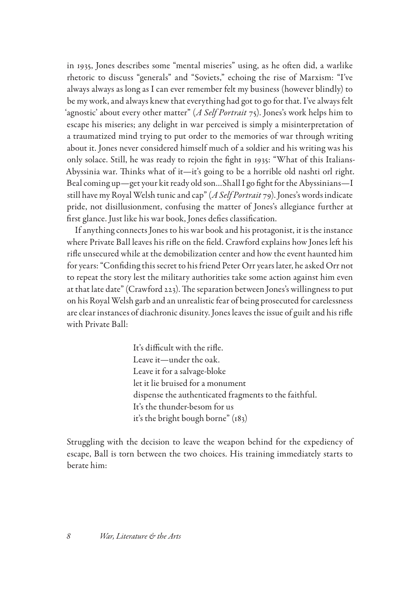in 1935, Jones describes some "mental miseries" using, as he often did, a warlike rhetoric to discuss "generals" and "Soviets," echoing the rise of Marxism: "I've always always as long as I can ever remember felt my business (however blindly) to be my work, and always knew that everything had got to go for that. I've always felt 'agnostic' about every other matter" (*A Self Portrait* 75). Jones's work helps him to escape his miseries; any delight in war perceived is simply a misinterpretation of a traumatized mind trying to put order to the memories of war through writing about it. Jones never considered himself much of a soldier and his writing was his only solace. Still, he was ready to rejoin the fight in 1935: "What of this Italians-Abyssinia war. Thinks what of it—it's going to be a horrible old nashti orl right. Beal coming up—get your kit ready old son…Shall I go fight for the Abyssinians—I still have my Royal Welsh tunic and cap" (*A Self Portrait* 79). Jones's words indicate pride, not disillusionment, confusing the matter of Jones's allegiance further at first glance. Just like his war book, Jones defies classification.

If anything connects Jones to his war book and his protagonist, it is the instance where Private Ball leaves his rifle on the field. Crawford explains how Jones left his rifle unsecured while at the demobilization center and how the event haunted him for years: "Confiding this secret to his friend Peter Orr years later, he asked Orr not to repeat the story lest the military authorities take some action against him even at that late date" (Crawford 223). The separation between Jones's willingness to put on his Royal Welsh garb and an unrealistic fear of being prosecuted for carelessness are clear instances of diachronic disunity. Jones leaves the issue of guilt and his rifle with Private Ball:

> It's difficult with the rifle. Leave it—under the oak. Leave it for a salvage-bloke let it lie bruised for a monument dispense the authenticated fragments to the faithful. It's the thunder-besom for us it's the bright bough borne" (183)

Struggling with the decision to leave the weapon behind for the expediency of escape, Ball is torn between the two choices. His training immediately starts to berate him: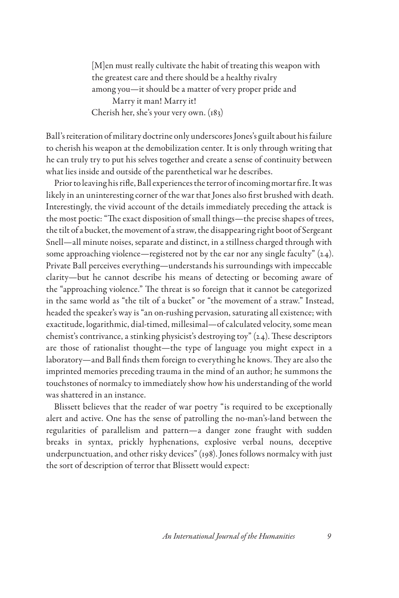[M]en must really cultivate the habit of treating this weapon with the greatest care and there should be a healthy rivalry among you—it should be a matter of very proper pride and Marry it man! Marry it! Cherish her, she's your very own. (183)

Ball's reiteration of military doctrine only underscores Jones's guilt about his failure to cherish his weapon at the demobilization center. It is only through writing that he can truly try to put his selves together and create a sense of continuity between what lies inside and outside of the parenthetical war he describes.

Prior to leaving his rifle, Ball experiences the terror of incoming mortar fire. It was likely in an uninteresting corner of the war that Jones also first brushed with death. Interestingly, the vivid account of the details immediately preceding the attack is the most poetic: "The exact disposition of small things—the precise shapes of trees, the tilt of a bucket, the movement of a straw, the disappearing right boot of Sergeant Snell—all minute noises, separate and distinct, in a stillness charged through with some approaching violence—registered not by the ear nor any single faculty"  $(24)$ . Private Ball perceives everything—understands his surroundings with impeccable clarity—but he cannot describe his means of detecting or becoming aware of the "approaching violence." The threat is so foreign that it cannot be categorized in the same world as "the tilt of a bucket" or "the movement of a straw." Instead, headed the speaker's way is "an on-rushing pervasion, saturating all existence; with exactitude, logarithmic, dial-timed, millesimal—of calculated velocity, some mean chemist's contrivance, a stinking physicist's destroying toy" (24). These descriptors are those of rationalist thought—the type of language you might expect in a laboratory—and Ball finds them foreign to everything he knows. They are also the imprinted memories preceding trauma in the mind of an author; he summons the touchstones of normalcy to immediately show how his understanding of the world was shattered in an instance.

Blissett believes that the reader of war poetry "is required to be exceptionally alert and active. One has the sense of patrolling the no-man's-land between the regularities of parallelism and pattern—a danger zone fraught with sudden breaks in syntax, prickly hyphenations, explosive verbal nouns, deceptive underpunctuation, and other risky devices" (198). Jones follows normalcy with just the sort of description of terror that Blissett would expect: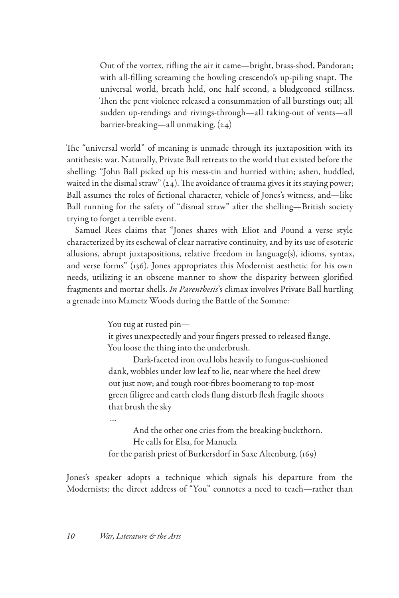Out of the vortex, rifling the air it came—bright, brass-shod, Pandoran; with all-filling screaming the howling crescendo's up-piling snapt. The universal world, breath held, one half second, a bludgeoned stillness. Then the pent violence released a consummation of all burstings out; all sudden up-rendings and rivings-through—all taking-out of vents—all barrier-breaking—all unmaking. (24)

The "universal world" of meaning is unmade through its juxtaposition with its antithesis: war. Naturally, Private Ball retreats to the world that existed before the shelling: "John Ball picked up his mess-tin and hurried within; ashen, huddled, waited in the dismal straw"  $(24)$ . The avoidance of trauma gives it its staying power; Ball assumes the roles of fictional character, vehicle of Jones's witness, and—like Ball running for the safety of "dismal straw" after the shelling—British society trying to forget a terrible event.

Samuel Rees claims that "Jones shares with Eliot and Pound a verse style characterized by its eschewal of clear narrative continuity, and by its use of esoteric allusions, abrupt juxtapositions, relative freedom in language(s), idioms, syntax, and verse forms" (136). Jones appropriates this Modernist aesthetic for his own needs, utilizing it an obscene manner to show the disparity between glorified fragments and mortar shells. *In Parenthesis*'s climax involves Private Ball hurtling a grenade into Mametz Woods during the Battle of the Somme:

You tug at rusted pin—

it gives unexpectedly and your fingers pressed to released flange. You loose the thing into the underbrush.

Dark-faceted iron oval lobs heavily to fungus-cushioned dank, wobbles under low leaf to lie, near where the heel drew out just now; and tough root-fibres boomerang to top-most green filigree and earth clods flung disturb flesh fragile shoots that brush the sky

…

And the other one cries from the breaking-buckthorn. He calls for Elsa, for Manuela for the parish priest of Burkersdorf in Saxe Altenburg. (169)

Jones's speaker adopts a technique which signals his departure from the Modernists; the direct address of "You" connotes a need to teach—rather than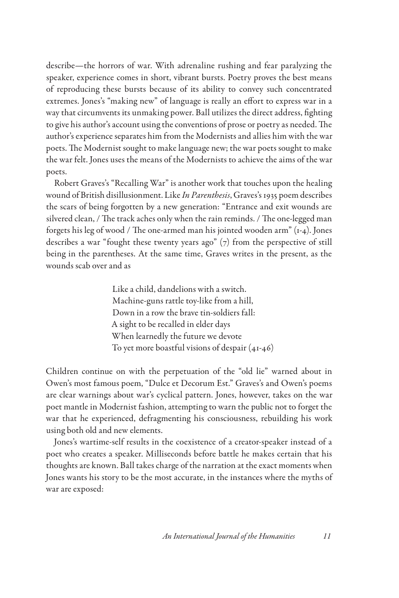describe—the horrors of war. With adrenaline rushing and fear paralyzing the speaker, experience comes in short, vibrant bursts. Poetry proves the best means of reproducing these bursts because of its ability to convey such concentrated extremes. Jones's "making new" of language is really an effort to express war in a way that circumvents its unmaking power. Ball utilizes the direct address, fighting to give his author's account using the conventions of prose or poetry as needed. The author's experience separates him from the Modernists and allies him with the war poets. The Modernist sought to make language new; the war poets sought to make the war felt. Jones uses the means of the Modernists to achieve the aims of the war poets.

Robert Graves's "Recalling War" is another work that touches upon the healing wound of British disillusionment. Like *In Parenthesis*, Graves's 1935 poem describes the scars of being forgotten by a new generation: "Entrance and exit wounds are silvered clean, / The track aches only when the rain reminds. / The one-legged man forgets his leg of wood / The one-armed man his jointed wooden arm" (1-4). Jones describes a war "fought these twenty years ago" (7) from the perspective of still being in the parentheses. At the same time, Graves writes in the present, as the wounds scab over and as

> Like a child, dandelions with a switch. Machine-guns rattle toy-like from a hill, Down in a row the brave tin-soldiers fall: A sight to be recalled in elder days When learnedly the future we devote To yet more boastful visions of despair (41-46)

Children continue on with the perpetuation of the "old lie" warned about in Owen's most famous poem, "Dulce et Decorum Est." Graves's and Owen's poems are clear warnings about war's cyclical pattern. Jones, however, takes on the war poet mantle in Modernist fashion, attempting to warn the public not to forget the war that he experienced, defragmenting his consciousness, rebuilding his work using both old and new elements.

Jones's wartime-self results in the coexistence of a creator-speaker instead of a poet who creates a speaker. Milliseconds before battle he makes certain that his thoughts are known. Ball takes charge of the narration at the exact moments when Jones wants his story to be the most accurate, in the instances where the myths of war are exposed: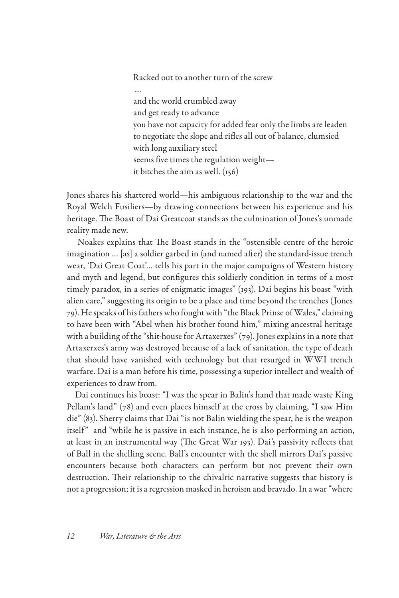Racked out to another turn of the screw

 … and the world crumbled away and get ready to advance you have not capacity for added fear only the limbs are leaden to negotiate the slope and rifles all out of balance, clumsied with long auxiliary steel seems five times the regulation weight it bitches the aim as well. (156)

Jones shares his shattered world—his ambiguous relationship to the war and the Royal Welch Fusiliers—by drawing connections between his experience and his heritage. The Boast of Dai Greatcoat stands as the culmination of Jones's unmade reality made new.

 Noakes explains that The Boast stands in the "ostensible centre of the heroic imagination … [as] a soldier garbed in (and named after) the standard-issue trench wear, 'Dai Great Coat'… tells his part in the major campaigns of Western history and myth and legend, but configures this soldierly condition in terms of a most timely paradox, in a series of enigmatic images" (193). Dai begins his boast "with alien care," suggesting its origin to be a place and time beyond the trenches (Jones 79). He speaks of his fathers who fought with "the Black Prinse of Wales," claiming to have been with "Abel when his brother found him," mixing ancestral heritage with a building of the "shit-house for Artaxerxes"  $(79)$ . Jones explains in a note that Artaxerxes's army was destroyed because of a lack of sanitation, the type of death that should have vanished with technology but that resurged in WWI trench warfare. Dai is a man before his time, possessing a superior intellect and wealth of experiences to draw from.

Dai continues his boast: "I was the spear in Balin's hand that made waste King Pellam's land" (78) and even places himself at the cross by claiming, "I saw Him die" (83). Sherry claims that Dai "is not Balin wielding the spear, he is the weapon itself" and "while he is passive in each instance, he is also performing an action, at least in an instrumental way (The Great War 193). Dai's passivity reflects that of Ball in the shelling scene. Ball's encounter with the shell mirrors Dai's passive encounters because both characters can perform but not prevent their own destruction. Their relationship to the chivalric narrative suggests that history is not a progression; it is a regression masked in heroism and bravado. In a war "where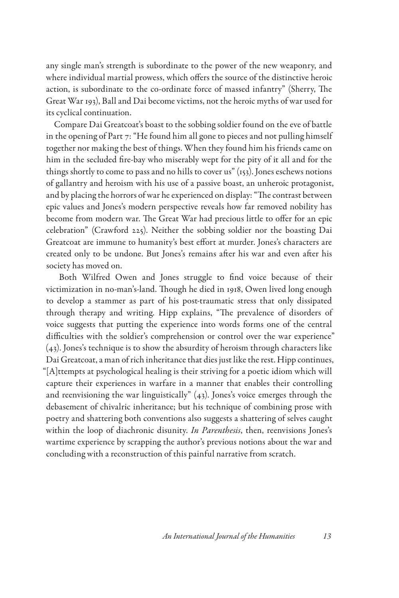any single man's strength is subordinate to the power of the new weaponry, and where individual martial prowess, which offers the source of the distinctive heroic action, is subordinate to the co-ordinate force of massed infantry" (Sherry, The Great War 193), Ball and Dai become victims, not the heroic myths of war used for its cyclical continuation.

Compare Dai Greatcoat's boast to the sobbing soldier found on the eve of battle in the opening of Part 7: "He found him all gone to pieces and not pulling himself together nor making the best of things. When they found him his friends came on him in the secluded fire-bay who miserably wept for the pity of it all and for the things shortly to come to pass and no hills to cover us" (153). Jones eschews notions of gallantry and heroism with his use of a passive boast, an unheroic protagonist, and by placing the horrors of war he experienced on display: "The contrast between epic values and Jones's modern perspective reveals how far removed nobility has become from modern war. The Great War had precious little to offer for an epic celebration" (Crawford 225). Neither the sobbing soldier nor the boasting Dai Greatcoat are immune to humanity's best effort at murder. Jones's characters are created only to be undone. But Jones's remains after his war and even after his society has moved on.

 Both Wilfred Owen and Jones struggle to find voice because of their victimization in no-man's-land. Though he died in 1918, Owen lived long enough to develop a stammer as part of his post-traumatic stress that only dissipated through therapy and writing. Hipp explains, "The prevalence of disorders of voice suggests that putting the experience into words forms one of the central difficulties with the soldier's comprehension or control over the war experience" (43). Jones's technique is to show the absurdity of heroism through characters like Dai Greatcoat, a man of rich inheritance that dies just like the rest. Hipp continues, "[A]ttempts at psychological healing is their striving for a poetic idiom which will capture their experiences in warfare in a manner that enables their controlling and reenvisioning the war linguistically" (43). Jones's voice emerges through the debasement of chivalric inheritance; but his technique of combining prose with poetry and shattering both conventions also suggests a shattering of selves caught within the loop of diachronic disunity. *In Parenthesis*, then, reenvisions Jones's wartime experience by scrapping the author's previous notions about the war and concluding with a reconstruction of this painful narrative from scratch.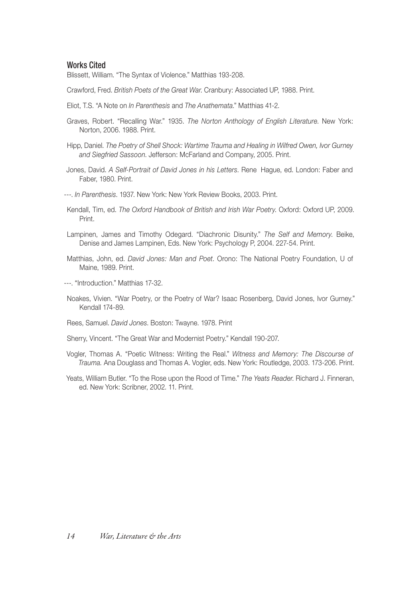## Works Cited

Blissett, William. "The Syntax of Violence." Matthias 193-208.

Crawford, Fred. *British Poets of the Great War*. Cranbury: Associated UP, 1988. Print.

- Eliot, T.S. "A Note on *In Parenthesis* and *The Anathemata*." Matthias 41-2.
- Graves, Robert. "Recalling War." 1935. *The Norton Anthology of English Literature*. New York: Norton, 2006. 1988. Print.
- Hipp, Daniel. *The Poetry of Shell Shock: Wartime Trauma and Healing in Wilfred Owen, Ivor Gurney and Siegfried Sassoon*. Jefferson: McFarland and Company, 2005. Print.
- Jones, David. *A Self-Portrait of David Jones in his Letters*. Rene′ Hague, ed. London: Faber and Faber, 1980. Print.

---. *In Parenthesis*. 1937. New York: New York Review Books, 2003. Print.

- Kendall, Tim, ed. *The Oxford Handbook of British and Irish War Poetry*. Oxford: Oxford UP, 2009. Print.
- Lampinen, James and Timothy Odegard. "Diachronic Disunity." *The Self and Memory*. Beike, Denise and James Lampinen, Eds. New York: Psychology P, 2004. 227-54. Print.
- Matthias, John, ed. *David Jones: Man and Poet*. Orono: The National Poetry Foundation, U of Maine, 1989. Print.
- ---. "Introduction." Matthias 17-32.
- Noakes, Vivien. "War Poetry, or the Poetry of War? Isaac Rosenberg, David Jones, Ivor Gurney." Kendall 174-89.
- Rees, Samuel. *David Jones*. Boston: Twayne. 1978. Print
- Sherry, Vincent. "The Great War and Modernist Poetry." Kendall 190-207.
- Vogler, Thomas A. "Poetic Witness: Writing the Real." *Witness and Memory: The Discourse of Trauma.* Ana Douglass and Thomas A. Vogler, eds. New York: Routledge, 2003. 173-206. Print.
- Yeats, William Butler. "To the Rose upon the Rood of Time." *The Yeats Reader*. Richard J. Finneran, ed. New York: Scribner, 2002. 11. Print.